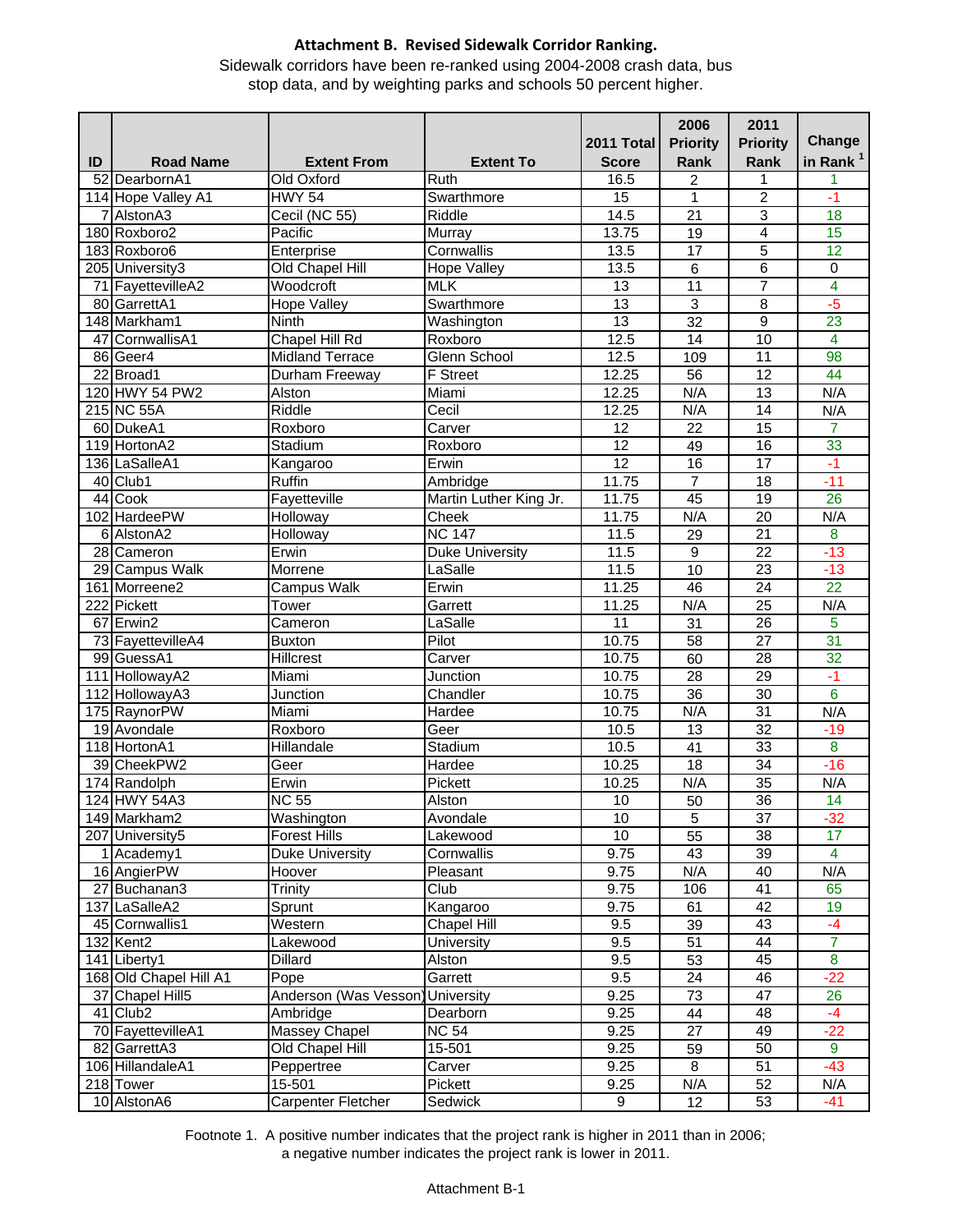Sidewalk corridors have been re-ranked using 2004-2008 crash data, bus stop data, and by weighting parks and schools 50 percent higher.

| in Rank <sup>1</sup><br>ID<br><b>Road Name</b><br><b>Extent From</b><br><b>Extent To</b><br><b>Score</b><br>Rank<br>Rank<br>52 DearbornA1<br>Old Oxford<br>Ruth<br>16.5<br>2<br>1<br>1<br>$\overline{2}$<br>114 Hope Valley A1<br><b>HWY 54</b><br>Swarthmore<br>15<br>$-1$<br>1<br>18<br>7 Alston <sub>A3</sub><br>Cecil (NC 55)<br>Riddle<br>14.5<br>$\overline{21}$<br>3<br>Pacific<br>15<br>180 Roxboro2<br>Murray<br>13.75<br>4<br>19<br>Cornwallis<br>5<br>$\overline{12}$<br>183 Roxboro6<br>Enterprise<br>13.5<br>17<br>6<br>$\overline{0}$<br>205 University3<br>Old Chapel Hill<br>13.5<br>6<br><b>Hope Valley</b><br>$\overline{7}$<br>$\overline{4}$<br><b>MLK</b><br>$\overline{13}$<br>71 FayettevilleA2<br>Woodcroft<br>11<br>$-5$<br>$\overline{3}$<br>Swarthmore<br>13<br>$\overline{8}$<br>80 GarrettA1<br><b>Hope Valley</b><br>13<br>148 Markham1<br>$\overline{32}$<br>9<br>$\overline{23}$<br>Ninth<br>Washington<br>Chapel Hill Rd<br>$\overline{4}$<br>12.5<br>10<br>47 CornwallisA1<br>14<br>Roxboro<br><b>Midland Terrace</b><br>$\overline{11}$<br>86 Geer4<br>Glenn School<br>12.5<br>109<br>98<br>22 Broad1<br><b>F</b> Street<br>$\overline{12}$<br>Durham Freeway<br>12.25<br>44<br>56<br>120 HWY 54 PW2<br>N/A<br>Alston<br>Miami<br>12.25<br>N/A<br>$\overline{13}$<br>215 NC 55A<br>Riddle<br>Cecil<br>12.25<br>N/A<br>14<br>N/A<br>$\overline{12}$<br>$\overline{15}$<br>60 DukeA1<br>Roxboro<br>Carver<br>22<br>7<br>33<br>Stadium<br>$\overline{12}$<br>16<br>119 HortonA2<br>Roxboro<br>49<br>$\overline{12}$<br>$\overline{17}$<br>136 LaSalleA1<br>Kangaroo<br>Erwin<br>16<br>$-1$<br>Ruffin<br>$\overline{7}$<br>$-11$<br>40 Club1<br>11.75<br>$\overline{18}$<br>Ambridge<br>Fayetteville<br>Martin Luther King Jr.<br>11.75<br>45<br>$\overline{19}$<br>$\overline{26}$<br>44 Cook<br>102 HardeePW<br>Holloway<br>11.75<br>$\overline{20}$<br>N/A<br>Cheek<br>N/A<br><b>NC 147</b><br>8<br>6 AlstonA2<br>Holloway<br>11.5<br>29<br>21<br>Erwin<br>$\overline{22}$<br>$-13$<br>28 Cameron<br><b>Duke University</b><br>11.5<br>9<br>$\frac{11.5}{2}$<br>$\overline{23}$<br>$-13$<br>29 Campus Walk<br>Morrene<br>LaSalle<br>10<br><b>Campus Walk</b><br>$\overline{22}$<br>161 Morreene2<br>Erwin<br>11.25<br>46<br>24<br>N/A<br>$\overline{25}$<br>222 Pickett<br>11.25<br>N/A<br>Tower<br>Garrett<br>5<br>$\overline{67}$ Erwin2<br>Cameron<br>LaSalle<br>11<br>31<br>26<br>$\overline{31}$<br>Pilot<br>$\overline{27}$<br>73 FayettevilleA4<br><b>Buxton</b><br>10.75<br>58<br>28<br>32<br>99 GuessA1<br><b>Hillcrest</b><br>10.75<br>60<br>Carver<br>111 HollowayA2<br>29<br>Miami<br>Junction<br>10.75<br>28<br>$-1$<br>$\overline{6}$<br>10.75<br>$\overline{36}$<br>$\overline{30}$<br>112 HollowayA3<br>Junction<br>Chandler<br>Miami<br>N/A<br>$\overline{31}$<br>N/A<br>175 RaynorPW<br>10.75<br>Hardee<br>Roxboro<br>$\overline{32}$<br>19 Avondale<br>Geer<br>10.5<br>$-19$<br>13<br>$\overline{\mathbf{8}}$<br>118 HortonA1<br>Hillandale<br>Stadium<br>10.5<br>$\overline{41}$<br>33<br>39 CheekPW2<br>$-16$<br>Geer<br>Hardee<br>10.25<br>18<br>34<br>35<br>Pickett<br>N/A<br>174 Randolph<br>Erwin<br>10.25<br>N/A<br>36<br>124 HWY 54A3<br><b>NC 55</b><br>$\overline{50}$<br>$\overline{14}$<br>Alston<br>10<br>149 Markham2<br>Washington<br>10<br>Avondale<br>$\mathbf 5$<br>37<br>$-32$<br>55<br>$\overline{10}$<br>$\overline{38}$<br>$\overline{17}$<br>207 University5<br><b>Forest Hills</b><br>Lakewood<br>9.75<br>$\overline{4}$<br>43<br>39<br>1 Academy1<br>Duke University<br>Cornwallis<br>16 AngierPW<br>9.75<br>N/A<br>40<br>N/A<br>Hoover<br>Pleasant<br>27 Buchanan3<br>Trinity<br>Club<br>9.75<br>41<br>65<br>106<br>137 LaSalleA2<br>9.75<br>42<br>Sprunt<br>Kangaroo<br>61<br>19<br>45 Cornwallis1<br>Western<br>Chapel Hill<br>9.5<br>39<br>43<br>$-4$<br>$\overline{7}$<br>9.5<br>51<br>132 Kent2<br>Lakewood<br>University<br>44<br>$\bf{8}$<br>Dillard<br>9.5<br>45<br>141 Liberty1<br>Alston<br>53<br>168 Old Chapel Hill A1<br>$-22$<br>Garrett<br>9.5<br>24<br>46<br>Pope<br>Anderson (Was Vesson<br>37 Chapel Hill5<br>9.25<br>47<br>26<br><b>University</b><br>73<br>$-4$<br>41 Club <sub>2</sub><br>Ambridge<br>Dearborn<br>9.25<br>44<br>48<br><b>Massey Chapel</b><br>$\overline{27}$<br>$-22$<br>70 FayettevilleA1<br><b>NC 54</b><br>9.25<br>49<br>$\overline{9}$<br>Old Chapel Hill<br>9.25<br>50<br>82 GarrettA3<br>15-501<br>59<br>106 HillandaleA1<br>8<br>$-43$<br>Peppertree<br>Carver<br>9.25<br>51<br>Pickett<br>N/A<br>218 Tower<br>15-501<br>9.25<br>52<br>N/A<br>10 AlstonA6 |  |                    |         | 2011 Total | 2006<br><b>Priority</b> | 2011<br><b>Priority</b> | Change |
|---------------------------------------------------------------------------------------------------------------------------------------------------------------------------------------------------------------------------------------------------------------------------------------------------------------------------------------------------------------------------------------------------------------------------------------------------------------------------------------------------------------------------------------------------------------------------------------------------------------------------------------------------------------------------------------------------------------------------------------------------------------------------------------------------------------------------------------------------------------------------------------------------------------------------------------------------------------------------------------------------------------------------------------------------------------------------------------------------------------------------------------------------------------------------------------------------------------------------------------------------------------------------------------------------------------------------------------------------------------------------------------------------------------------------------------------------------------------------------------------------------------------------------------------------------------------------------------------------------------------------------------------------------------------------------------------------------------------------------------------------------------------------------------------------------------------------------------------------------------------------------------------------------------------------------------------------------------------------------------------------------------------------------------------------------------------------------------------------------------------------------------------------------------------------------------------------------------------------------------------------------------------------------------------------------------------------------------------------------------------------------------------------------------------------------------------------------------------------------------------------------------------------------------------------------------------------------------------------------------------------------------------------------------------------------------------------------------------------------------------------------------------------------------------------------------------------------------------------------------------------------------------------------------------------------------------------------------------------------------------------------------------------------------------------------------------------------------------------------------------------------------------------------------------------------------------------------------------------------------------------------------------------------------------------------------------------------------------------------------------------------------------------------------------------------------------------------------------------------------------------------------------------------------------------------------------------------------------------------------------------------------------------------------------------------------------------------------------------------------------------------------------------------------------------------------------------------------------------------------------------------------------------------------------------------------------------------------------------------------------------------------------------------------------------------------------------------------------------------------------------------------------------------------------------------------------------------------------------------------------------------------------------------------------------------------------------------------------------------------------------------------------------------------------------------------------------------------------------------------------------------------------------------------------------------------------------------------|--|--------------------|---------|------------|-------------------------|-------------------------|--------|
|                                                                                                                                                                                                                                                                                                                                                                                                                                                                                                                                                                                                                                                                                                                                                                                                                                                                                                                                                                                                                                                                                                                                                                                                                                                                                                                                                                                                                                                                                                                                                                                                                                                                                                                                                                                                                                                                                                                                                                                                                                                                                                                                                                                                                                                                                                                                                                                                                                                                                                                                                                                                                                                                                                                                                                                                                                                                                                                                                                                                                                                                                                                                                                                                                                                                                                                                                                                                                                                                                                                                                                                                                                                                                                                                                                                                                                                                                                                                                                                                                                                                                                                                                                                                                                                                                                                                                                                                                                                                                                                                                                                       |  |                    |         |            |                         |                         |        |
|                                                                                                                                                                                                                                                                                                                                                                                                                                                                                                                                                                                                                                                                                                                                                                                                                                                                                                                                                                                                                                                                                                                                                                                                                                                                                                                                                                                                                                                                                                                                                                                                                                                                                                                                                                                                                                                                                                                                                                                                                                                                                                                                                                                                                                                                                                                                                                                                                                                                                                                                                                                                                                                                                                                                                                                                                                                                                                                                                                                                                                                                                                                                                                                                                                                                                                                                                                                                                                                                                                                                                                                                                                                                                                                                                                                                                                                                                                                                                                                                                                                                                                                                                                                                                                                                                                                                                                                                                                                                                                                                                                                       |  |                    |         |            |                         |                         |        |
|                                                                                                                                                                                                                                                                                                                                                                                                                                                                                                                                                                                                                                                                                                                                                                                                                                                                                                                                                                                                                                                                                                                                                                                                                                                                                                                                                                                                                                                                                                                                                                                                                                                                                                                                                                                                                                                                                                                                                                                                                                                                                                                                                                                                                                                                                                                                                                                                                                                                                                                                                                                                                                                                                                                                                                                                                                                                                                                                                                                                                                                                                                                                                                                                                                                                                                                                                                                                                                                                                                                                                                                                                                                                                                                                                                                                                                                                                                                                                                                                                                                                                                                                                                                                                                                                                                                                                                                                                                                                                                                                                                                       |  |                    |         |            |                         |                         |        |
|                                                                                                                                                                                                                                                                                                                                                                                                                                                                                                                                                                                                                                                                                                                                                                                                                                                                                                                                                                                                                                                                                                                                                                                                                                                                                                                                                                                                                                                                                                                                                                                                                                                                                                                                                                                                                                                                                                                                                                                                                                                                                                                                                                                                                                                                                                                                                                                                                                                                                                                                                                                                                                                                                                                                                                                                                                                                                                                                                                                                                                                                                                                                                                                                                                                                                                                                                                                                                                                                                                                                                                                                                                                                                                                                                                                                                                                                                                                                                                                                                                                                                                                                                                                                                                                                                                                                                                                                                                                                                                                                                                                       |  |                    |         |            |                         |                         |        |
|                                                                                                                                                                                                                                                                                                                                                                                                                                                                                                                                                                                                                                                                                                                                                                                                                                                                                                                                                                                                                                                                                                                                                                                                                                                                                                                                                                                                                                                                                                                                                                                                                                                                                                                                                                                                                                                                                                                                                                                                                                                                                                                                                                                                                                                                                                                                                                                                                                                                                                                                                                                                                                                                                                                                                                                                                                                                                                                                                                                                                                                                                                                                                                                                                                                                                                                                                                                                                                                                                                                                                                                                                                                                                                                                                                                                                                                                                                                                                                                                                                                                                                                                                                                                                                                                                                                                                                                                                                                                                                                                                                                       |  |                    |         |            |                         |                         |        |
|                                                                                                                                                                                                                                                                                                                                                                                                                                                                                                                                                                                                                                                                                                                                                                                                                                                                                                                                                                                                                                                                                                                                                                                                                                                                                                                                                                                                                                                                                                                                                                                                                                                                                                                                                                                                                                                                                                                                                                                                                                                                                                                                                                                                                                                                                                                                                                                                                                                                                                                                                                                                                                                                                                                                                                                                                                                                                                                                                                                                                                                                                                                                                                                                                                                                                                                                                                                                                                                                                                                                                                                                                                                                                                                                                                                                                                                                                                                                                                                                                                                                                                                                                                                                                                                                                                                                                                                                                                                                                                                                                                                       |  |                    |         |            |                         |                         |        |
|                                                                                                                                                                                                                                                                                                                                                                                                                                                                                                                                                                                                                                                                                                                                                                                                                                                                                                                                                                                                                                                                                                                                                                                                                                                                                                                                                                                                                                                                                                                                                                                                                                                                                                                                                                                                                                                                                                                                                                                                                                                                                                                                                                                                                                                                                                                                                                                                                                                                                                                                                                                                                                                                                                                                                                                                                                                                                                                                                                                                                                                                                                                                                                                                                                                                                                                                                                                                                                                                                                                                                                                                                                                                                                                                                                                                                                                                                                                                                                                                                                                                                                                                                                                                                                                                                                                                                                                                                                                                                                                                                                                       |  |                    |         |            |                         |                         |        |
|                                                                                                                                                                                                                                                                                                                                                                                                                                                                                                                                                                                                                                                                                                                                                                                                                                                                                                                                                                                                                                                                                                                                                                                                                                                                                                                                                                                                                                                                                                                                                                                                                                                                                                                                                                                                                                                                                                                                                                                                                                                                                                                                                                                                                                                                                                                                                                                                                                                                                                                                                                                                                                                                                                                                                                                                                                                                                                                                                                                                                                                                                                                                                                                                                                                                                                                                                                                                                                                                                                                                                                                                                                                                                                                                                                                                                                                                                                                                                                                                                                                                                                                                                                                                                                                                                                                                                                                                                                                                                                                                                                                       |  |                    |         |            |                         |                         |        |
|                                                                                                                                                                                                                                                                                                                                                                                                                                                                                                                                                                                                                                                                                                                                                                                                                                                                                                                                                                                                                                                                                                                                                                                                                                                                                                                                                                                                                                                                                                                                                                                                                                                                                                                                                                                                                                                                                                                                                                                                                                                                                                                                                                                                                                                                                                                                                                                                                                                                                                                                                                                                                                                                                                                                                                                                                                                                                                                                                                                                                                                                                                                                                                                                                                                                                                                                                                                                                                                                                                                                                                                                                                                                                                                                                                                                                                                                                                                                                                                                                                                                                                                                                                                                                                                                                                                                                                                                                                                                                                                                                                                       |  |                    |         |            |                         |                         |        |
|                                                                                                                                                                                                                                                                                                                                                                                                                                                                                                                                                                                                                                                                                                                                                                                                                                                                                                                                                                                                                                                                                                                                                                                                                                                                                                                                                                                                                                                                                                                                                                                                                                                                                                                                                                                                                                                                                                                                                                                                                                                                                                                                                                                                                                                                                                                                                                                                                                                                                                                                                                                                                                                                                                                                                                                                                                                                                                                                                                                                                                                                                                                                                                                                                                                                                                                                                                                                                                                                                                                                                                                                                                                                                                                                                                                                                                                                                                                                                                                                                                                                                                                                                                                                                                                                                                                                                                                                                                                                                                                                                                                       |  |                    |         |            |                         |                         |        |
|                                                                                                                                                                                                                                                                                                                                                                                                                                                                                                                                                                                                                                                                                                                                                                                                                                                                                                                                                                                                                                                                                                                                                                                                                                                                                                                                                                                                                                                                                                                                                                                                                                                                                                                                                                                                                                                                                                                                                                                                                                                                                                                                                                                                                                                                                                                                                                                                                                                                                                                                                                                                                                                                                                                                                                                                                                                                                                                                                                                                                                                                                                                                                                                                                                                                                                                                                                                                                                                                                                                                                                                                                                                                                                                                                                                                                                                                                                                                                                                                                                                                                                                                                                                                                                                                                                                                                                                                                                                                                                                                                                                       |  |                    |         |            |                         |                         |        |
|                                                                                                                                                                                                                                                                                                                                                                                                                                                                                                                                                                                                                                                                                                                                                                                                                                                                                                                                                                                                                                                                                                                                                                                                                                                                                                                                                                                                                                                                                                                                                                                                                                                                                                                                                                                                                                                                                                                                                                                                                                                                                                                                                                                                                                                                                                                                                                                                                                                                                                                                                                                                                                                                                                                                                                                                                                                                                                                                                                                                                                                                                                                                                                                                                                                                                                                                                                                                                                                                                                                                                                                                                                                                                                                                                                                                                                                                                                                                                                                                                                                                                                                                                                                                                                                                                                                                                                                                                                                                                                                                                                                       |  |                    |         |            |                         |                         |        |
|                                                                                                                                                                                                                                                                                                                                                                                                                                                                                                                                                                                                                                                                                                                                                                                                                                                                                                                                                                                                                                                                                                                                                                                                                                                                                                                                                                                                                                                                                                                                                                                                                                                                                                                                                                                                                                                                                                                                                                                                                                                                                                                                                                                                                                                                                                                                                                                                                                                                                                                                                                                                                                                                                                                                                                                                                                                                                                                                                                                                                                                                                                                                                                                                                                                                                                                                                                                                                                                                                                                                                                                                                                                                                                                                                                                                                                                                                                                                                                                                                                                                                                                                                                                                                                                                                                                                                                                                                                                                                                                                                                                       |  |                    |         |            |                         |                         |        |
|                                                                                                                                                                                                                                                                                                                                                                                                                                                                                                                                                                                                                                                                                                                                                                                                                                                                                                                                                                                                                                                                                                                                                                                                                                                                                                                                                                                                                                                                                                                                                                                                                                                                                                                                                                                                                                                                                                                                                                                                                                                                                                                                                                                                                                                                                                                                                                                                                                                                                                                                                                                                                                                                                                                                                                                                                                                                                                                                                                                                                                                                                                                                                                                                                                                                                                                                                                                                                                                                                                                                                                                                                                                                                                                                                                                                                                                                                                                                                                                                                                                                                                                                                                                                                                                                                                                                                                                                                                                                                                                                                                                       |  |                    |         |            |                         |                         |        |
|                                                                                                                                                                                                                                                                                                                                                                                                                                                                                                                                                                                                                                                                                                                                                                                                                                                                                                                                                                                                                                                                                                                                                                                                                                                                                                                                                                                                                                                                                                                                                                                                                                                                                                                                                                                                                                                                                                                                                                                                                                                                                                                                                                                                                                                                                                                                                                                                                                                                                                                                                                                                                                                                                                                                                                                                                                                                                                                                                                                                                                                                                                                                                                                                                                                                                                                                                                                                                                                                                                                                                                                                                                                                                                                                                                                                                                                                                                                                                                                                                                                                                                                                                                                                                                                                                                                                                                                                                                                                                                                                                                                       |  |                    |         |            |                         |                         |        |
|                                                                                                                                                                                                                                                                                                                                                                                                                                                                                                                                                                                                                                                                                                                                                                                                                                                                                                                                                                                                                                                                                                                                                                                                                                                                                                                                                                                                                                                                                                                                                                                                                                                                                                                                                                                                                                                                                                                                                                                                                                                                                                                                                                                                                                                                                                                                                                                                                                                                                                                                                                                                                                                                                                                                                                                                                                                                                                                                                                                                                                                                                                                                                                                                                                                                                                                                                                                                                                                                                                                                                                                                                                                                                                                                                                                                                                                                                                                                                                                                                                                                                                                                                                                                                                                                                                                                                                                                                                                                                                                                                                                       |  |                    |         |            |                         |                         |        |
|                                                                                                                                                                                                                                                                                                                                                                                                                                                                                                                                                                                                                                                                                                                                                                                                                                                                                                                                                                                                                                                                                                                                                                                                                                                                                                                                                                                                                                                                                                                                                                                                                                                                                                                                                                                                                                                                                                                                                                                                                                                                                                                                                                                                                                                                                                                                                                                                                                                                                                                                                                                                                                                                                                                                                                                                                                                                                                                                                                                                                                                                                                                                                                                                                                                                                                                                                                                                                                                                                                                                                                                                                                                                                                                                                                                                                                                                                                                                                                                                                                                                                                                                                                                                                                                                                                                                                                                                                                                                                                                                                                                       |  |                    |         |            |                         |                         |        |
|                                                                                                                                                                                                                                                                                                                                                                                                                                                                                                                                                                                                                                                                                                                                                                                                                                                                                                                                                                                                                                                                                                                                                                                                                                                                                                                                                                                                                                                                                                                                                                                                                                                                                                                                                                                                                                                                                                                                                                                                                                                                                                                                                                                                                                                                                                                                                                                                                                                                                                                                                                                                                                                                                                                                                                                                                                                                                                                                                                                                                                                                                                                                                                                                                                                                                                                                                                                                                                                                                                                                                                                                                                                                                                                                                                                                                                                                                                                                                                                                                                                                                                                                                                                                                                                                                                                                                                                                                                                                                                                                                                                       |  |                    |         |            |                         |                         |        |
|                                                                                                                                                                                                                                                                                                                                                                                                                                                                                                                                                                                                                                                                                                                                                                                                                                                                                                                                                                                                                                                                                                                                                                                                                                                                                                                                                                                                                                                                                                                                                                                                                                                                                                                                                                                                                                                                                                                                                                                                                                                                                                                                                                                                                                                                                                                                                                                                                                                                                                                                                                                                                                                                                                                                                                                                                                                                                                                                                                                                                                                                                                                                                                                                                                                                                                                                                                                                                                                                                                                                                                                                                                                                                                                                                                                                                                                                                                                                                                                                                                                                                                                                                                                                                                                                                                                                                                                                                                                                                                                                                                                       |  |                    |         |            |                         |                         |        |
|                                                                                                                                                                                                                                                                                                                                                                                                                                                                                                                                                                                                                                                                                                                                                                                                                                                                                                                                                                                                                                                                                                                                                                                                                                                                                                                                                                                                                                                                                                                                                                                                                                                                                                                                                                                                                                                                                                                                                                                                                                                                                                                                                                                                                                                                                                                                                                                                                                                                                                                                                                                                                                                                                                                                                                                                                                                                                                                                                                                                                                                                                                                                                                                                                                                                                                                                                                                                                                                                                                                                                                                                                                                                                                                                                                                                                                                                                                                                                                                                                                                                                                                                                                                                                                                                                                                                                                                                                                                                                                                                                                                       |  |                    |         |            |                         |                         |        |
|                                                                                                                                                                                                                                                                                                                                                                                                                                                                                                                                                                                                                                                                                                                                                                                                                                                                                                                                                                                                                                                                                                                                                                                                                                                                                                                                                                                                                                                                                                                                                                                                                                                                                                                                                                                                                                                                                                                                                                                                                                                                                                                                                                                                                                                                                                                                                                                                                                                                                                                                                                                                                                                                                                                                                                                                                                                                                                                                                                                                                                                                                                                                                                                                                                                                                                                                                                                                                                                                                                                                                                                                                                                                                                                                                                                                                                                                                                                                                                                                                                                                                                                                                                                                                                                                                                                                                                                                                                                                                                                                                                                       |  |                    |         |            |                         |                         |        |
|                                                                                                                                                                                                                                                                                                                                                                                                                                                                                                                                                                                                                                                                                                                                                                                                                                                                                                                                                                                                                                                                                                                                                                                                                                                                                                                                                                                                                                                                                                                                                                                                                                                                                                                                                                                                                                                                                                                                                                                                                                                                                                                                                                                                                                                                                                                                                                                                                                                                                                                                                                                                                                                                                                                                                                                                                                                                                                                                                                                                                                                                                                                                                                                                                                                                                                                                                                                                                                                                                                                                                                                                                                                                                                                                                                                                                                                                                                                                                                                                                                                                                                                                                                                                                                                                                                                                                                                                                                                                                                                                                                                       |  |                    |         |            |                         |                         |        |
|                                                                                                                                                                                                                                                                                                                                                                                                                                                                                                                                                                                                                                                                                                                                                                                                                                                                                                                                                                                                                                                                                                                                                                                                                                                                                                                                                                                                                                                                                                                                                                                                                                                                                                                                                                                                                                                                                                                                                                                                                                                                                                                                                                                                                                                                                                                                                                                                                                                                                                                                                                                                                                                                                                                                                                                                                                                                                                                                                                                                                                                                                                                                                                                                                                                                                                                                                                                                                                                                                                                                                                                                                                                                                                                                                                                                                                                                                                                                                                                                                                                                                                                                                                                                                                                                                                                                                                                                                                                                                                                                                                                       |  |                    |         |            |                         |                         |        |
|                                                                                                                                                                                                                                                                                                                                                                                                                                                                                                                                                                                                                                                                                                                                                                                                                                                                                                                                                                                                                                                                                                                                                                                                                                                                                                                                                                                                                                                                                                                                                                                                                                                                                                                                                                                                                                                                                                                                                                                                                                                                                                                                                                                                                                                                                                                                                                                                                                                                                                                                                                                                                                                                                                                                                                                                                                                                                                                                                                                                                                                                                                                                                                                                                                                                                                                                                                                                                                                                                                                                                                                                                                                                                                                                                                                                                                                                                                                                                                                                                                                                                                                                                                                                                                                                                                                                                                                                                                                                                                                                                                                       |  |                    |         |            |                         |                         |        |
|                                                                                                                                                                                                                                                                                                                                                                                                                                                                                                                                                                                                                                                                                                                                                                                                                                                                                                                                                                                                                                                                                                                                                                                                                                                                                                                                                                                                                                                                                                                                                                                                                                                                                                                                                                                                                                                                                                                                                                                                                                                                                                                                                                                                                                                                                                                                                                                                                                                                                                                                                                                                                                                                                                                                                                                                                                                                                                                                                                                                                                                                                                                                                                                                                                                                                                                                                                                                                                                                                                                                                                                                                                                                                                                                                                                                                                                                                                                                                                                                                                                                                                                                                                                                                                                                                                                                                                                                                                                                                                                                                                                       |  |                    |         |            |                         |                         |        |
|                                                                                                                                                                                                                                                                                                                                                                                                                                                                                                                                                                                                                                                                                                                                                                                                                                                                                                                                                                                                                                                                                                                                                                                                                                                                                                                                                                                                                                                                                                                                                                                                                                                                                                                                                                                                                                                                                                                                                                                                                                                                                                                                                                                                                                                                                                                                                                                                                                                                                                                                                                                                                                                                                                                                                                                                                                                                                                                                                                                                                                                                                                                                                                                                                                                                                                                                                                                                                                                                                                                                                                                                                                                                                                                                                                                                                                                                                                                                                                                                                                                                                                                                                                                                                                                                                                                                                                                                                                                                                                                                                                                       |  |                    |         |            |                         |                         |        |
|                                                                                                                                                                                                                                                                                                                                                                                                                                                                                                                                                                                                                                                                                                                                                                                                                                                                                                                                                                                                                                                                                                                                                                                                                                                                                                                                                                                                                                                                                                                                                                                                                                                                                                                                                                                                                                                                                                                                                                                                                                                                                                                                                                                                                                                                                                                                                                                                                                                                                                                                                                                                                                                                                                                                                                                                                                                                                                                                                                                                                                                                                                                                                                                                                                                                                                                                                                                                                                                                                                                                                                                                                                                                                                                                                                                                                                                                                                                                                                                                                                                                                                                                                                                                                                                                                                                                                                                                                                                                                                                                                                                       |  |                    |         |            |                         |                         |        |
|                                                                                                                                                                                                                                                                                                                                                                                                                                                                                                                                                                                                                                                                                                                                                                                                                                                                                                                                                                                                                                                                                                                                                                                                                                                                                                                                                                                                                                                                                                                                                                                                                                                                                                                                                                                                                                                                                                                                                                                                                                                                                                                                                                                                                                                                                                                                                                                                                                                                                                                                                                                                                                                                                                                                                                                                                                                                                                                                                                                                                                                                                                                                                                                                                                                                                                                                                                                                                                                                                                                                                                                                                                                                                                                                                                                                                                                                                                                                                                                                                                                                                                                                                                                                                                                                                                                                                                                                                                                                                                                                                                                       |  |                    |         |            |                         |                         |        |
|                                                                                                                                                                                                                                                                                                                                                                                                                                                                                                                                                                                                                                                                                                                                                                                                                                                                                                                                                                                                                                                                                                                                                                                                                                                                                                                                                                                                                                                                                                                                                                                                                                                                                                                                                                                                                                                                                                                                                                                                                                                                                                                                                                                                                                                                                                                                                                                                                                                                                                                                                                                                                                                                                                                                                                                                                                                                                                                                                                                                                                                                                                                                                                                                                                                                                                                                                                                                                                                                                                                                                                                                                                                                                                                                                                                                                                                                                                                                                                                                                                                                                                                                                                                                                                                                                                                                                                                                                                                                                                                                                                                       |  |                    |         |            |                         |                         |        |
|                                                                                                                                                                                                                                                                                                                                                                                                                                                                                                                                                                                                                                                                                                                                                                                                                                                                                                                                                                                                                                                                                                                                                                                                                                                                                                                                                                                                                                                                                                                                                                                                                                                                                                                                                                                                                                                                                                                                                                                                                                                                                                                                                                                                                                                                                                                                                                                                                                                                                                                                                                                                                                                                                                                                                                                                                                                                                                                                                                                                                                                                                                                                                                                                                                                                                                                                                                                                                                                                                                                                                                                                                                                                                                                                                                                                                                                                                                                                                                                                                                                                                                                                                                                                                                                                                                                                                                                                                                                                                                                                                                                       |  |                    |         |            |                         |                         |        |
|                                                                                                                                                                                                                                                                                                                                                                                                                                                                                                                                                                                                                                                                                                                                                                                                                                                                                                                                                                                                                                                                                                                                                                                                                                                                                                                                                                                                                                                                                                                                                                                                                                                                                                                                                                                                                                                                                                                                                                                                                                                                                                                                                                                                                                                                                                                                                                                                                                                                                                                                                                                                                                                                                                                                                                                                                                                                                                                                                                                                                                                                                                                                                                                                                                                                                                                                                                                                                                                                                                                                                                                                                                                                                                                                                                                                                                                                                                                                                                                                                                                                                                                                                                                                                                                                                                                                                                                                                                                                                                                                                                                       |  |                    |         |            |                         |                         |        |
|                                                                                                                                                                                                                                                                                                                                                                                                                                                                                                                                                                                                                                                                                                                                                                                                                                                                                                                                                                                                                                                                                                                                                                                                                                                                                                                                                                                                                                                                                                                                                                                                                                                                                                                                                                                                                                                                                                                                                                                                                                                                                                                                                                                                                                                                                                                                                                                                                                                                                                                                                                                                                                                                                                                                                                                                                                                                                                                                                                                                                                                                                                                                                                                                                                                                                                                                                                                                                                                                                                                                                                                                                                                                                                                                                                                                                                                                                                                                                                                                                                                                                                                                                                                                                                                                                                                                                                                                                                                                                                                                                                                       |  |                    |         |            |                         |                         |        |
|                                                                                                                                                                                                                                                                                                                                                                                                                                                                                                                                                                                                                                                                                                                                                                                                                                                                                                                                                                                                                                                                                                                                                                                                                                                                                                                                                                                                                                                                                                                                                                                                                                                                                                                                                                                                                                                                                                                                                                                                                                                                                                                                                                                                                                                                                                                                                                                                                                                                                                                                                                                                                                                                                                                                                                                                                                                                                                                                                                                                                                                                                                                                                                                                                                                                                                                                                                                                                                                                                                                                                                                                                                                                                                                                                                                                                                                                                                                                                                                                                                                                                                                                                                                                                                                                                                                                                                                                                                                                                                                                                                                       |  |                    |         |            |                         |                         |        |
|                                                                                                                                                                                                                                                                                                                                                                                                                                                                                                                                                                                                                                                                                                                                                                                                                                                                                                                                                                                                                                                                                                                                                                                                                                                                                                                                                                                                                                                                                                                                                                                                                                                                                                                                                                                                                                                                                                                                                                                                                                                                                                                                                                                                                                                                                                                                                                                                                                                                                                                                                                                                                                                                                                                                                                                                                                                                                                                                                                                                                                                                                                                                                                                                                                                                                                                                                                                                                                                                                                                                                                                                                                                                                                                                                                                                                                                                                                                                                                                                                                                                                                                                                                                                                                                                                                                                                                                                                                                                                                                                                                                       |  |                    |         |            |                         |                         |        |
|                                                                                                                                                                                                                                                                                                                                                                                                                                                                                                                                                                                                                                                                                                                                                                                                                                                                                                                                                                                                                                                                                                                                                                                                                                                                                                                                                                                                                                                                                                                                                                                                                                                                                                                                                                                                                                                                                                                                                                                                                                                                                                                                                                                                                                                                                                                                                                                                                                                                                                                                                                                                                                                                                                                                                                                                                                                                                                                                                                                                                                                                                                                                                                                                                                                                                                                                                                                                                                                                                                                                                                                                                                                                                                                                                                                                                                                                                                                                                                                                                                                                                                                                                                                                                                                                                                                                                                                                                                                                                                                                                                                       |  |                    |         |            |                         |                         |        |
|                                                                                                                                                                                                                                                                                                                                                                                                                                                                                                                                                                                                                                                                                                                                                                                                                                                                                                                                                                                                                                                                                                                                                                                                                                                                                                                                                                                                                                                                                                                                                                                                                                                                                                                                                                                                                                                                                                                                                                                                                                                                                                                                                                                                                                                                                                                                                                                                                                                                                                                                                                                                                                                                                                                                                                                                                                                                                                                                                                                                                                                                                                                                                                                                                                                                                                                                                                                                                                                                                                                                                                                                                                                                                                                                                                                                                                                                                                                                                                                                                                                                                                                                                                                                                                                                                                                                                                                                                                                                                                                                                                                       |  |                    |         |            |                         |                         |        |
|                                                                                                                                                                                                                                                                                                                                                                                                                                                                                                                                                                                                                                                                                                                                                                                                                                                                                                                                                                                                                                                                                                                                                                                                                                                                                                                                                                                                                                                                                                                                                                                                                                                                                                                                                                                                                                                                                                                                                                                                                                                                                                                                                                                                                                                                                                                                                                                                                                                                                                                                                                                                                                                                                                                                                                                                                                                                                                                                                                                                                                                                                                                                                                                                                                                                                                                                                                                                                                                                                                                                                                                                                                                                                                                                                                                                                                                                                                                                                                                                                                                                                                                                                                                                                                                                                                                                                                                                                                                                                                                                                                                       |  |                    |         |            |                         |                         |        |
|                                                                                                                                                                                                                                                                                                                                                                                                                                                                                                                                                                                                                                                                                                                                                                                                                                                                                                                                                                                                                                                                                                                                                                                                                                                                                                                                                                                                                                                                                                                                                                                                                                                                                                                                                                                                                                                                                                                                                                                                                                                                                                                                                                                                                                                                                                                                                                                                                                                                                                                                                                                                                                                                                                                                                                                                                                                                                                                                                                                                                                                                                                                                                                                                                                                                                                                                                                                                                                                                                                                                                                                                                                                                                                                                                                                                                                                                                                                                                                                                                                                                                                                                                                                                                                                                                                                                                                                                                                                                                                                                                                                       |  |                    |         |            |                         |                         |        |
|                                                                                                                                                                                                                                                                                                                                                                                                                                                                                                                                                                                                                                                                                                                                                                                                                                                                                                                                                                                                                                                                                                                                                                                                                                                                                                                                                                                                                                                                                                                                                                                                                                                                                                                                                                                                                                                                                                                                                                                                                                                                                                                                                                                                                                                                                                                                                                                                                                                                                                                                                                                                                                                                                                                                                                                                                                                                                                                                                                                                                                                                                                                                                                                                                                                                                                                                                                                                                                                                                                                                                                                                                                                                                                                                                                                                                                                                                                                                                                                                                                                                                                                                                                                                                                                                                                                                                                                                                                                                                                                                                                                       |  |                    |         |            |                         |                         |        |
|                                                                                                                                                                                                                                                                                                                                                                                                                                                                                                                                                                                                                                                                                                                                                                                                                                                                                                                                                                                                                                                                                                                                                                                                                                                                                                                                                                                                                                                                                                                                                                                                                                                                                                                                                                                                                                                                                                                                                                                                                                                                                                                                                                                                                                                                                                                                                                                                                                                                                                                                                                                                                                                                                                                                                                                                                                                                                                                                                                                                                                                                                                                                                                                                                                                                                                                                                                                                                                                                                                                                                                                                                                                                                                                                                                                                                                                                                                                                                                                                                                                                                                                                                                                                                                                                                                                                                                                                                                                                                                                                                                                       |  |                    |         |            |                         |                         |        |
|                                                                                                                                                                                                                                                                                                                                                                                                                                                                                                                                                                                                                                                                                                                                                                                                                                                                                                                                                                                                                                                                                                                                                                                                                                                                                                                                                                                                                                                                                                                                                                                                                                                                                                                                                                                                                                                                                                                                                                                                                                                                                                                                                                                                                                                                                                                                                                                                                                                                                                                                                                                                                                                                                                                                                                                                                                                                                                                                                                                                                                                                                                                                                                                                                                                                                                                                                                                                                                                                                                                                                                                                                                                                                                                                                                                                                                                                                                                                                                                                                                                                                                                                                                                                                                                                                                                                                                                                                                                                                                                                                                                       |  |                    |         |            |                         |                         |        |
|                                                                                                                                                                                                                                                                                                                                                                                                                                                                                                                                                                                                                                                                                                                                                                                                                                                                                                                                                                                                                                                                                                                                                                                                                                                                                                                                                                                                                                                                                                                                                                                                                                                                                                                                                                                                                                                                                                                                                                                                                                                                                                                                                                                                                                                                                                                                                                                                                                                                                                                                                                                                                                                                                                                                                                                                                                                                                                                                                                                                                                                                                                                                                                                                                                                                                                                                                                                                                                                                                                                                                                                                                                                                                                                                                                                                                                                                                                                                                                                                                                                                                                                                                                                                                                                                                                                                                                                                                                                                                                                                                                                       |  |                    |         |            |                         |                         |        |
|                                                                                                                                                                                                                                                                                                                                                                                                                                                                                                                                                                                                                                                                                                                                                                                                                                                                                                                                                                                                                                                                                                                                                                                                                                                                                                                                                                                                                                                                                                                                                                                                                                                                                                                                                                                                                                                                                                                                                                                                                                                                                                                                                                                                                                                                                                                                                                                                                                                                                                                                                                                                                                                                                                                                                                                                                                                                                                                                                                                                                                                                                                                                                                                                                                                                                                                                                                                                                                                                                                                                                                                                                                                                                                                                                                                                                                                                                                                                                                                                                                                                                                                                                                                                                                                                                                                                                                                                                                                                                                                                                                                       |  |                    |         |            |                         |                         |        |
|                                                                                                                                                                                                                                                                                                                                                                                                                                                                                                                                                                                                                                                                                                                                                                                                                                                                                                                                                                                                                                                                                                                                                                                                                                                                                                                                                                                                                                                                                                                                                                                                                                                                                                                                                                                                                                                                                                                                                                                                                                                                                                                                                                                                                                                                                                                                                                                                                                                                                                                                                                                                                                                                                                                                                                                                                                                                                                                                                                                                                                                                                                                                                                                                                                                                                                                                                                                                                                                                                                                                                                                                                                                                                                                                                                                                                                                                                                                                                                                                                                                                                                                                                                                                                                                                                                                                                                                                                                                                                                                                                                                       |  |                    |         |            |                         |                         |        |
|                                                                                                                                                                                                                                                                                                                                                                                                                                                                                                                                                                                                                                                                                                                                                                                                                                                                                                                                                                                                                                                                                                                                                                                                                                                                                                                                                                                                                                                                                                                                                                                                                                                                                                                                                                                                                                                                                                                                                                                                                                                                                                                                                                                                                                                                                                                                                                                                                                                                                                                                                                                                                                                                                                                                                                                                                                                                                                                                                                                                                                                                                                                                                                                                                                                                                                                                                                                                                                                                                                                                                                                                                                                                                                                                                                                                                                                                                                                                                                                                                                                                                                                                                                                                                                                                                                                                                                                                                                                                                                                                                                                       |  |                    |         |            |                         |                         |        |
|                                                                                                                                                                                                                                                                                                                                                                                                                                                                                                                                                                                                                                                                                                                                                                                                                                                                                                                                                                                                                                                                                                                                                                                                                                                                                                                                                                                                                                                                                                                                                                                                                                                                                                                                                                                                                                                                                                                                                                                                                                                                                                                                                                                                                                                                                                                                                                                                                                                                                                                                                                                                                                                                                                                                                                                                                                                                                                                                                                                                                                                                                                                                                                                                                                                                                                                                                                                                                                                                                                                                                                                                                                                                                                                                                                                                                                                                                                                                                                                                                                                                                                                                                                                                                                                                                                                                                                                                                                                                                                                                                                                       |  |                    |         |            |                         |                         |        |
|                                                                                                                                                                                                                                                                                                                                                                                                                                                                                                                                                                                                                                                                                                                                                                                                                                                                                                                                                                                                                                                                                                                                                                                                                                                                                                                                                                                                                                                                                                                                                                                                                                                                                                                                                                                                                                                                                                                                                                                                                                                                                                                                                                                                                                                                                                                                                                                                                                                                                                                                                                                                                                                                                                                                                                                                                                                                                                                                                                                                                                                                                                                                                                                                                                                                                                                                                                                                                                                                                                                                                                                                                                                                                                                                                                                                                                                                                                                                                                                                                                                                                                                                                                                                                                                                                                                                                                                                                                                                                                                                                                                       |  |                    |         |            |                         |                         |        |
|                                                                                                                                                                                                                                                                                                                                                                                                                                                                                                                                                                                                                                                                                                                                                                                                                                                                                                                                                                                                                                                                                                                                                                                                                                                                                                                                                                                                                                                                                                                                                                                                                                                                                                                                                                                                                                                                                                                                                                                                                                                                                                                                                                                                                                                                                                                                                                                                                                                                                                                                                                                                                                                                                                                                                                                                                                                                                                                                                                                                                                                                                                                                                                                                                                                                                                                                                                                                                                                                                                                                                                                                                                                                                                                                                                                                                                                                                                                                                                                                                                                                                                                                                                                                                                                                                                                                                                                                                                                                                                                                                                                       |  |                    |         |            |                         |                         |        |
|                                                                                                                                                                                                                                                                                                                                                                                                                                                                                                                                                                                                                                                                                                                                                                                                                                                                                                                                                                                                                                                                                                                                                                                                                                                                                                                                                                                                                                                                                                                                                                                                                                                                                                                                                                                                                                                                                                                                                                                                                                                                                                                                                                                                                                                                                                                                                                                                                                                                                                                                                                                                                                                                                                                                                                                                                                                                                                                                                                                                                                                                                                                                                                                                                                                                                                                                                                                                                                                                                                                                                                                                                                                                                                                                                                                                                                                                                                                                                                                                                                                                                                                                                                                                                                                                                                                                                                                                                                                                                                                                                                                       |  |                    |         |            |                         |                         |        |
|                                                                                                                                                                                                                                                                                                                                                                                                                                                                                                                                                                                                                                                                                                                                                                                                                                                                                                                                                                                                                                                                                                                                                                                                                                                                                                                                                                                                                                                                                                                                                                                                                                                                                                                                                                                                                                                                                                                                                                                                                                                                                                                                                                                                                                                                                                                                                                                                                                                                                                                                                                                                                                                                                                                                                                                                                                                                                                                                                                                                                                                                                                                                                                                                                                                                                                                                                                                                                                                                                                                                                                                                                                                                                                                                                                                                                                                                                                                                                                                                                                                                                                                                                                                                                                                                                                                                                                                                                                                                                                                                                                                       |  |                    |         |            |                         |                         |        |
|                                                                                                                                                                                                                                                                                                                                                                                                                                                                                                                                                                                                                                                                                                                                                                                                                                                                                                                                                                                                                                                                                                                                                                                                                                                                                                                                                                                                                                                                                                                                                                                                                                                                                                                                                                                                                                                                                                                                                                                                                                                                                                                                                                                                                                                                                                                                                                                                                                                                                                                                                                                                                                                                                                                                                                                                                                                                                                                                                                                                                                                                                                                                                                                                                                                                                                                                                                                                                                                                                                                                                                                                                                                                                                                                                                                                                                                                                                                                                                                                                                                                                                                                                                                                                                                                                                                                                                                                                                                                                                                                                                                       |  |                    |         |            |                         |                         |        |
|                                                                                                                                                                                                                                                                                                                                                                                                                                                                                                                                                                                                                                                                                                                                                                                                                                                                                                                                                                                                                                                                                                                                                                                                                                                                                                                                                                                                                                                                                                                                                                                                                                                                                                                                                                                                                                                                                                                                                                                                                                                                                                                                                                                                                                                                                                                                                                                                                                                                                                                                                                                                                                                                                                                                                                                                                                                                                                                                                                                                                                                                                                                                                                                                                                                                                                                                                                                                                                                                                                                                                                                                                                                                                                                                                                                                                                                                                                                                                                                                                                                                                                                                                                                                                                                                                                                                                                                                                                                                                                                                                                                       |  |                    |         |            |                         |                         |        |
|                                                                                                                                                                                                                                                                                                                                                                                                                                                                                                                                                                                                                                                                                                                                                                                                                                                                                                                                                                                                                                                                                                                                                                                                                                                                                                                                                                                                                                                                                                                                                                                                                                                                                                                                                                                                                                                                                                                                                                                                                                                                                                                                                                                                                                                                                                                                                                                                                                                                                                                                                                                                                                                                                                                                                                                                                                                                                                                                                                                                                                                                                                                                                                                                                                                                                                                                                                                                                                                                                                                                                                                                                                                                                                                                                                                                                                                                                                                                                                                                                                                                                                                                                                                                                                                                                                                                                                                                                                                                                                                                                                                       |  |                    |         |            |                         |                         |        |
|                                                                                                                                                                                                                                                                                                                                                                                                                                                                                                                                                                                                                                                                                                                                                                                                                                                                                                                                                                                                                                                                                                                                                                                                                                                                                                                                                                                                                                                                                                                                                                                                                                                                                                                                                                                                                                                                                                                                                                                                                                                                                                                                                                                                                                                                                                                                                                                                                                                                                                                                                                                                                                                                                                                                                                                                                                                                                                                                                                                                                                                                                                                                                                                                                                                                                                                                                                                                                                                                                                                                                                                                                                                                                                                                                                                                                                                                                                                                                                                                                                                                                                                                                                                                                                                                                                                                                                                                                                                                                                                                                                                       |  | Carpenter Fletcher | Sedwick | 9          | 12                      | 53                      | $-41$  |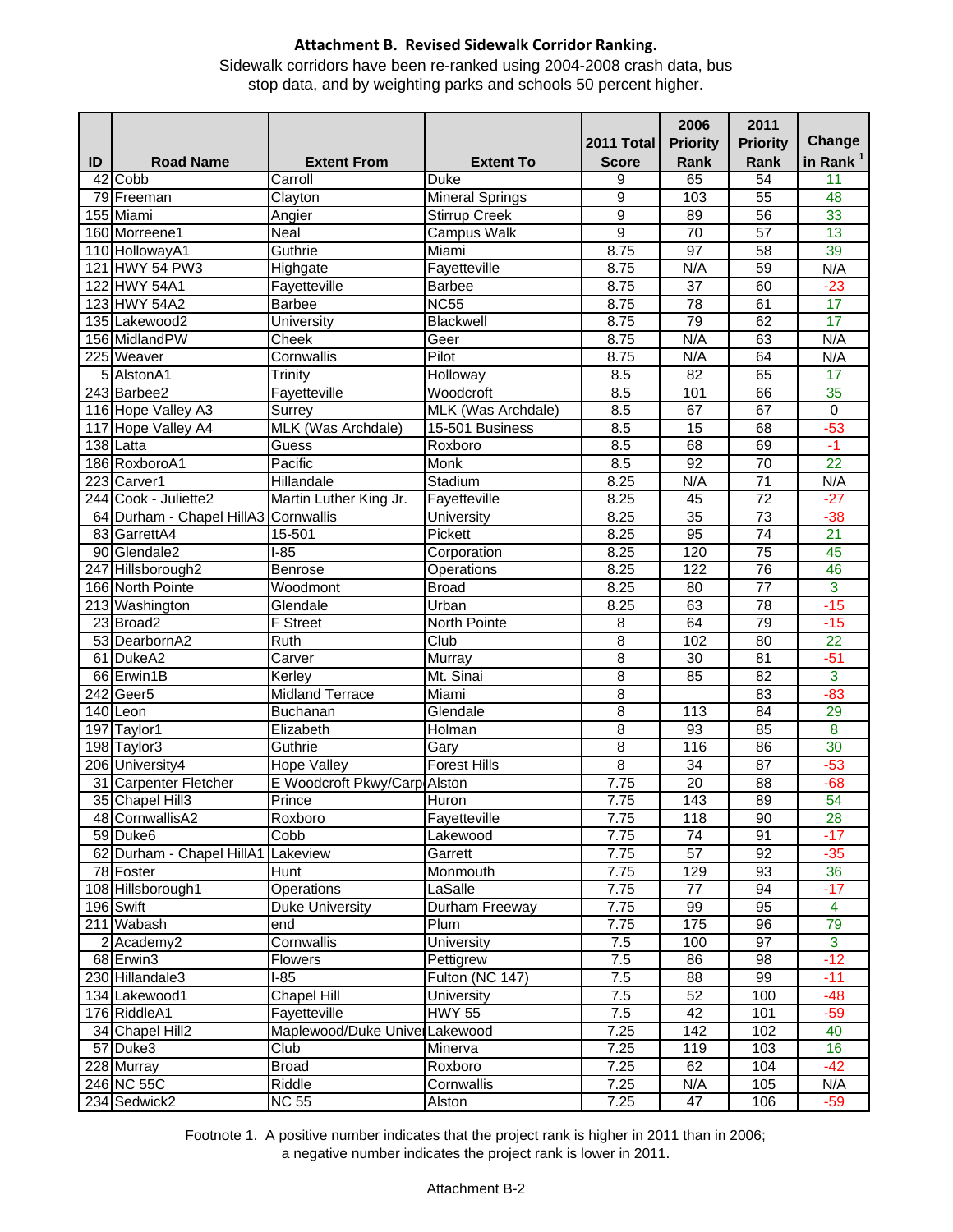Sidewalk corridors have been re-ranked using 2004-2008 crash data, bus stop data, and by weighting parks and schools 50 percent higher.

|    |                                      |                               |                               |                     | 2006                  | 2011                               |                       |
|----|--------------------------------------|-------------------------------|-------------------------------|---------------------|-----------------------|------------------------------------|-----------------------|
|    |                                      |                               |                               | 2011 Total          | <b>Priority</b>       | <b>Priority</b>                    | Change                |
| ID | <b>Road Name</b>                     | <b>Extent From</b>            | <b>Extent To</b>              | <b>Score</b>        | Rank                  | Rank                               | in Rank <sup>1</sup>  |
|    | 42 Cobb                              | Carroll                       | <b>Duke</b>                   | 9                   | 65                    | 54                                 | 11                    |
|    | 79 Freeman                           | Clayton                       | <b>Mineral Springs</b>        | 9                   | 103                   | 55                                 | 48                    |
|    | 155 Miami<br>160 Morreene1           | Angier                        | <b>Stirrup Creek</b>          | 9<br>$\overline{9}$ | 89<br>$\overline{70}$ | 56                                 | 33                    |
|    |                                      | Neal<br>Guthrie               | <b>Campus Walk</b><br>Miami   |                     | 97                    | $\overline{57}$<br>$\overline{58}$ | $\overline{13}$<br>39 |
|    | 110 HollowayA1<br>121 HWY 54 PW3     |                               |                               | 8.75                | N/A                   |                                    | N/A                   |
|    | 122 HWY 54A1                         | Highgate<br>Fayetteville      | Fayetteville<br><b>Barbee</b> | 8.75<br>8.75        | 37                    | 59<br>60                           | $-23$                 |
|    | 123 HWY 54A2                         | <b>Barbee</b>                 | <b>NC55</b>                   | 8.75                | 78                    | 61                                 | $\overline{17}$       |
|    | 135 Lakewood2                        | University                    | Blackwell                     | 8.75                | 79                    | 62                                 | 17                    |
|    | 156 MidlandPW                        | Cheek                         | Geer                          | 8.75                | N/A                   | 63                                 | N/A                   |
|    | 225 Weaver                           | Cornwallis                    | Pilot                         | 8.75                | N/A                   | 64                                 | N/A                   |
|    | 5 AlstonA1                           | Trinity                       | Holloway                      | 8.5                 | $\overline{82}$       | 65                                 | 17                    |
|    | 243 Barbee2                          | Fayetteville                  | Woodcroft                     | 8.5                 | 101                   | 66                                 | 35                    |
|    | 116 Hope Valley A3                   | Surrey                        | MLK (Was Archdale)            | 8.5                 | 67                    | 67                                 | $\overline{0}$        |
|    | 117 Hope Valley A4                   | MLK (Was Archdale)            | 15-501 Business               | 8.5                 | 15                    | 68                                 | $-53$                 |
|    | 138 Latta                            | Guess                         | Roxboro                       | 8.5                 | 68                    | 69                                 | $-1$                  |
|    | 186 RoxboroA1                        | Pacific                       | <b>Monk</b>                   | 8.5                 | $\overline{92}$       | $\overline{70}$                    | $\overline{22}$       |
|    | 223 Carver1                          | Hillandale                    | Stadium                       | 8.25                | N/A                   | $\overline{71}$                    | N/A                   |
|    | 244 Cook - Juliette2                 | Martin Luther King Jr.        | Fayetteville                  | 8.25                | 45                    | $\overline{72}$                    | $-27$                 |
|    | 64 Durham - Chapel HillA3 Cornwallis |                               | <b>University</b>             | 8.25                | $\overline{35}$       | $\overline{73}$                    | $-38$                 |
|    | 83 GarrettA4                         | 15-501                        | <b>Pickett</b>                | 8.25                | 95                    | $\overline{74}$                    | $\overline{21}$       |
|    | 90 Glendale2                         | $1-85$                        | Corporation                   | 8.25                | 120                   | $\overline{75}$                    | 45                    |
|    | 247 Hillsborough2                    | Benrose                       | Operations                    | 8.25                | 122                   | 76                                 | 46                    |
|    | 166 North Pointe                     | Woodmont                      | <b>Broad</b>                  | 8.25                | 80                    | $\overline{77}$                    | $\overline{3}$        |
|    | 213 Washington                       | Glendale                      | Urban                         | 8.25                | 63                    | 78                                 | $-15$                 |
|    | 23 Broad2                            | <b>F</b> Street               | North Pointe                  | 8                   | 64                    | $\overline{79}$                    | $-15$                 |
|    | 53 DearbornA2                        | Ruth                          | Club                          | $\overline{8}$      | 102                   | $\overline{80}$                    | $\overline{22}$       |
|    | 61 DukeA2                            | Carver                        | Murray                        | $\overline{8}$      | 30                    | 81                                 | $-51$                 |
|    | 66 Erwin1B                           | Kerley                        | Mt. Sinai                     | 8                   | 85                    | $\overline{82}$                    | 3                     |
|    | 242 Geer5                            | <b>Midland Terrace</b>        | Miami                         | 8                   |                       | 83                                 | $-83$                 |
|    | 140 Leon                             | <b>Buchanan</b>               | Glendale                      | 8                   | 113                   | 84                                 | 29                    |
|    | 197 Taylor1                          | Elizabeth                     | Holman                        | 8                   | 93                    | 85                                 | 8                     |
|    | 198 Taylor3                          | Guthrie                       | Gary                          | 8                   | 116                   | 86                                 | 30                    |
|    | 206 University4                      | <b>Hope Valley</b>            | <b>Forest Hills</b>           | $\overline{8}$      | $\overline{34}$       | $\overline{87}$                    | $-53$                 |
|    | 31 Carpenter Fletcher                | E Woodcroft Pkwy/Carp Alston  |                               | 7.75                | 20                    | 88                                 | $-68$                 |
|    | 35 Chapel Hill3                      | Prince                        | Huron                         | 7.75                | 143                   | 89                                 | 54                    |
|    | 48 CornwallisA2                      | Roxboro                       | Fayetteville                  | 7.75                | 118                   | 90                                 | 28                    |
|    | 59 Duke6                             | Cobb                          | Lakewood                      | 7.75                | 74                    | 91                                 | $-17$                 |
|    | 62 Durham - Chapel HillA1 Lakeview   |                               | Garrett                       | 7.75                | $\overline{57}$       | 92                                 | $-35$                 |
|    | $\overline{78}$ Foster               | <b>Hunt</b>                   | Monmouth                      | 7.75                | 129                   | 93                                 | 36                    |
|    | 108 Hillsborough1                    | Operations                    | LaSalle                       | 7.75                | $77\,$                | 94                                 | $-17$                 |
|    | 196 Swift                            | Duke University               | Durham Freeway                | 7.75                | 99                    | 95                                 | $\overline{4}$        |
|    | 211 Wabash                           | end                           | Plum                          | 7.75                | 175                   | 96                                 | 79                    |
|    | 2 Academy2                           | Cornwallis                    | <b>University</b>             | 7.5                 | 100                   | 97                                 | $\overline{3}$        |
|    | 68 Erwin3                            | Flowers                       | Pettigrew                     | 7.5                 | 86                    | 98                                 | $-12$                 |
|    | 230 Hillandale3                      | $I-85$                        | Fulton (NC 147)               | 7.5                 | 88                    | 99                                 | $-11$                 |
|    | 134 Lakewood1                        | <b>Chapel Hill</b>            | <b>University</b>             | $\overline{7.5}$    | 52                    | 100                                | $-48$                 |
|    | 176 RiddleA1                         | Fayetteville                  | <b>HWY 55</b>                 | 7.5                 | 42                    | 101                                | $-59$                 |
|    | 34 Chapel Hill2                      | Maplewood/Duke UniverLakewood |                               | 7.25                | 142                   | 102                                | 40                    |
|    | 57 Duke3                             | Club                          | Minerva                       | 7.25                | 119                   | 103                                | 16                    |
|    | 228 Murray                           | <b>Broad</b>                  | Roxboro                       | 7.25                | 62                    | 104                                | $-42$                 |
|    | 246 NC 55C                           | Riddle                        | Cornwallis                    | 7.25                | N/A                   | 105                                | N/A                   |
|    | 234 Sedwick2                         | <b>NC 55</b>                  | Alston                        | 7.25                | 47                    | 106                                | $-59$                 |
|    |                                      |                               |                               |                     |                       |                                    |                       |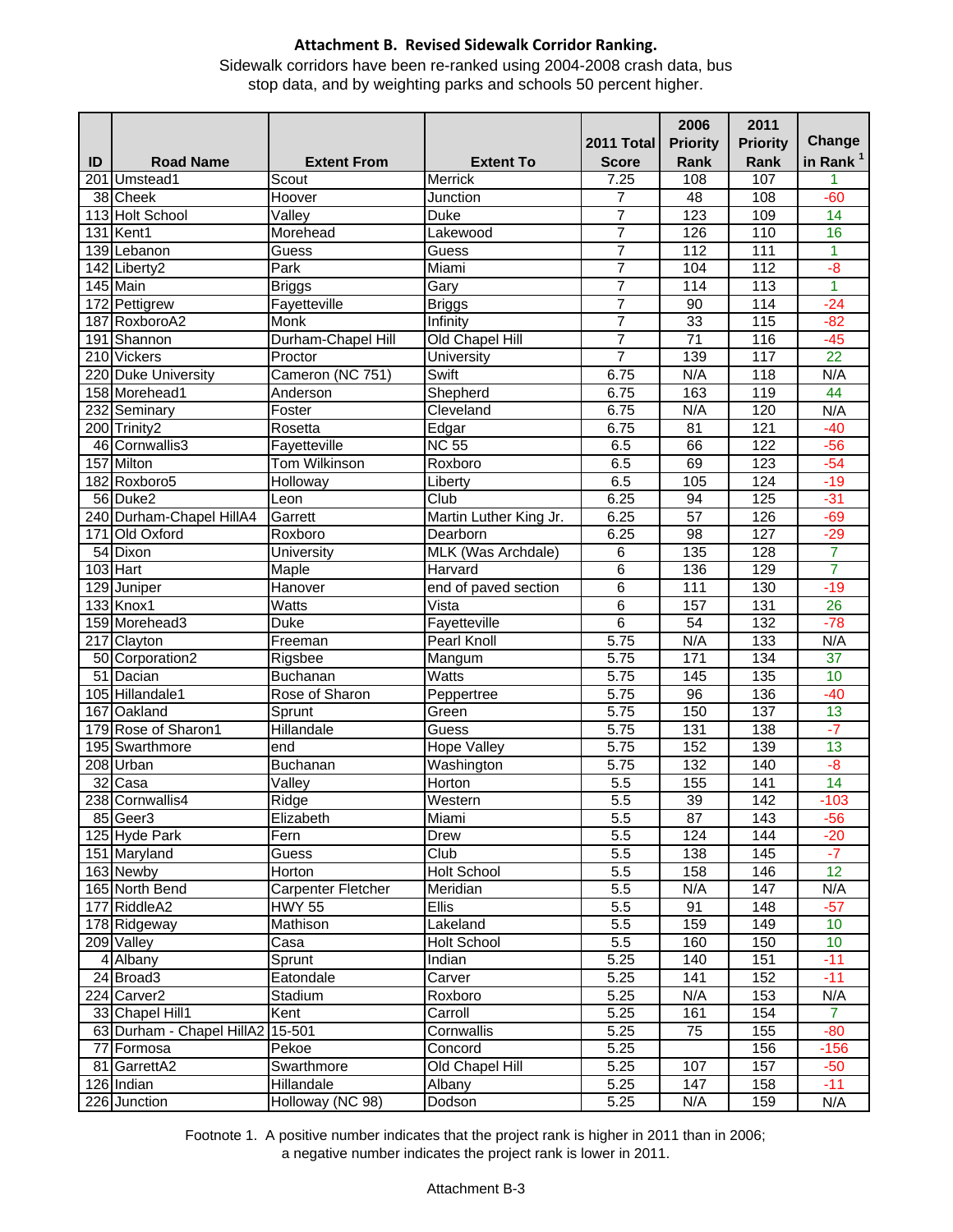Sidewalk corridors have been re-ranked using 2004-2008 crash data, bus stop data, and by weighting parks and schools 50 percent higher.

|    |                           |                             |                        |                  | 2006             | 2011             |                      |
|----|---------------------------|-----------------------------|------------------------|------------------|------------------|------------------|----------------------|
|    |                           |                             |                        | 2011 Total       | <b>Priority</b>  | <b>Priority</b>  | Change               |
| ID | <b>Road Name</b>          | <b>Extent From</b>          | <b>Extent To</b>       | <b>Score</b>     | <b>Rank</b>      | Rank             | in Rank <sup>1</sup> |
|    | 201 Umstead1              | Scout                       | Merrick                | 7.25             | 108              | 107              | 1                    |
|    | 38 Cheek                  | Hoover                      | <b>Junction</b>        | 7                | 48               | 108              | $-60$                |
|    | 113 Holt School           | Valley                      | <b>Duke</b>            | 7                | 123              | 109              | $\overline{14}$      |
|    | 131 Kent1                 | Morehead                    | Lakewood               | 7                | 126              | 110              | 16                   |
|    | 139 Lebanon               | Guess                       | Guess                  | 7                | 112              | 111              | $\mathbf{1}$         |
|    | $\overline{142}$ Liberty2 | Park                        | Miami                  | 7                | 104              | 112              | $-\frac{8}{5}$       |
|    | 145 Main                  | <b>Briggs</b>               | Gary                   | $\overline{7}$   | 114              | $\overline{113}$ | $\mathbf{1}$         |
|    | 172 Pettigrew             | Fayetteville                | <b>Briggs</b>          | 7                | 90               | 114              | $-24$                |
|    | 187 RoxboroA2             | <b>Monk</b>                 | Infinity               | $\overline{7}$   | 33               | 115              | $-82$                |
|    | 191 Shannon               | Durham-Chapel Hill          | Old Chapel Hill        | $\overline{7}$   | $\overline{71}$  | 116              | $-45$                |
|    | 210 Vickers               | Proctor                     | University             | $\overline{7}$   | 139              | 117              | $\overline{22}$      |
|    | 220 Duke University       | Cameron (NC 751)            | Swift                  | 6.75             | N/A              | 118              | N/A                  |
|    | 158 Morehead1             | Anderson                    | Shepherd               | 6.75             | 163              | 119              | 44                   |
|    | 232 Seminary              | Foster                      | Cleveland              | 6.75             | N/A              | 120              | N/A                  |
|    | 200 Trinity2              | Rosetta                     | Edgar                  | 6.75             | 81               | 121              | $-40$                |
|    | 46 Cornwallis3            | Fayetteville                | <b>NC 55</b>           | 6.5              | 66               | 122              | $-56$                |
|    | 157 Milton                | <b>Tom Wilkinson</b>        | Roxboro                | 6.5              | 69               | $\overline{123}$ | $-54$                |
|    | 182 Roxboro5              | Holloway                    | Liberty                | 6.5              | 105              | 124              | $-19$                |
|    | 56 Duke2                  | Leon                        | Club                   | 6.25             | 94               | 125              | $-31$                |
|    | 240 Durham-Chapel HillA4  | Garrett                     | Martin Luther King Jr. | 6.25             | $\overline{57}$  | 126              | $-69$                |
|    | 171 Old Oxford            | Roxboro                     | Dearborn               | 6.25             | 98               | 127              | $-29$                |
|    | 54 Dixon                  | <b>University</b>           | MLK (Was Archdale)     | 6                | $\overline{135}$ | 128              | 7                    |
|    | 103 Hart                  | Maple                       | Harvard                | $\overline{6}$   | 136              | 129              | 7                    |
|    | 129 Juniper               | Hanover                     | end of paved section   | 6                | 111              | 130              | $-19$                |
|    | 133 Knox1                 | Watts                       | Vista                  | $\overline{6}$   | 157              | 131              | $\overline{26}$      |
|    | 159 Morehead3             | <b>Duke</b>                 | Fayetteville           | $\overline{6}$   | 54               | 132              | $-78$                |
|    | 217 Clayton               | Freeman                     | Pearl Knoll            | 5.75             | N/A              | 133              | N/A                  |
|    | 50 Corporation2           | Rigsbee                     | Mangum                 | 5.75             | 171              | 134              | $\overline{37}$      |
|    | 51 Dacian                 | Buchanan                    | <b>Watts</b>           | 5.75             | 145              | 135              | 10                   |
|    | 105 Hillandale1           | Rose of Sharon              | Peppertree             | 5.75             | 96               | 136              | $-40$                |
|    | 167 Oakland               | Sprunt                      | Green                  | 5.75             | 150              | 137              | $\overline{13}$      |
|    | 179 Rose of Sharon1       | <b>Hillandale</b>           | Guess                  | 5.75             | 131              | 138              | $-7$                 |
|    | 195 Swarthmore            | end                         | <b>Hope Valley</b>     | 5.75             | 152              | 139              | $\overline{13}$      |
|    | 208 Urban                 | <b>Buchanan</b>             | Washington             | 5.75             | 132              | 140              | $-\delta$            |
|    | $32$ Casa                 | $\overline{\mathsf{Value}}$ | Horton                 | 5.5              | 155              | 141              | $\overline{14}$      |
|    | 238 Cornwallis4           | Ridge                       | Western                | $\overline{5.5}$ | 39               | 142              | $-103$               |
|    | 85 Geer3                  | Elizabeth                   | Miami                  | 5.5              | 87               | 143              | $-56$                |
|    | 125 Hyde Park             | Fern                        | Drew                   | $\overline{5.5}$ | 124              | 144              | $-20$                |
|    | 151 Maryland              | Guess                       | Club                   | $\overline{5.5}$ | 138              | 145              | $-7$                 |
|    | 163 Newby                 | Horton                      | <b>Holt School</b>     | $\overline{5.5}$ | 158              | 146              | 12                   |
|    | 165 North Bend            | Carpenter Fletcher          | Meridian               | 5.5              | N/A              | 147              | N/A                  |
|    | 177 RiddleA2              | <b>HWY 55</b>               | <b>Ellis</b>           | 5.5              | 91               | 148              | $-57$                |
|    | 178 Ridgeway              | Mathison                    | Lakeland               | $\overline{5.5}$ | 159              | 149              | 10                   |
|    | 209 Valley                | Casa                        | <b>Holt School</b>     | 5.5              | 160              | 150              | 10                   |
|    | 4 Albany                  | Sprunt                      | Indian                 | 5.25             | 140              | 151              | $-11$                |
|    | 24 Broad3                 | Eatondale                   | Carver                 | 5.25             | 141              | 152              | $-11$                |
|    | 224 Carver2               | Stadium                     | Roxboro                | 5.25             | N/A              | 153              | N/A                  |
|    | 33 Chapel Hill1           | Kent                        | Carroll                | 5.25             | 161              | 154              | $\overline{7}$       |
|    | 63 Durham - Chapel HillA2 | 15-501                      | Cornwallis             | 5.25             | 75               | 155              | $-80$                |
|    | 77 Formosa                | Pekoe                       | Concord                | 5.25             |                  | 156              | $-156$               |
|    | 81 GarrettA2              | Swarthmore                  | Old Chapel Hill        | 5.25             | 107              | 157              | $-50$                |
|    | 126 Indian                | Hillandale                  | Albany                 | 5.25             | 147              | 158              | $-11$                |
|    | 226 Junction              | Holloway (NC 98)            | Dodson                 | 5.25             | N/A              | 159              | N/A                  |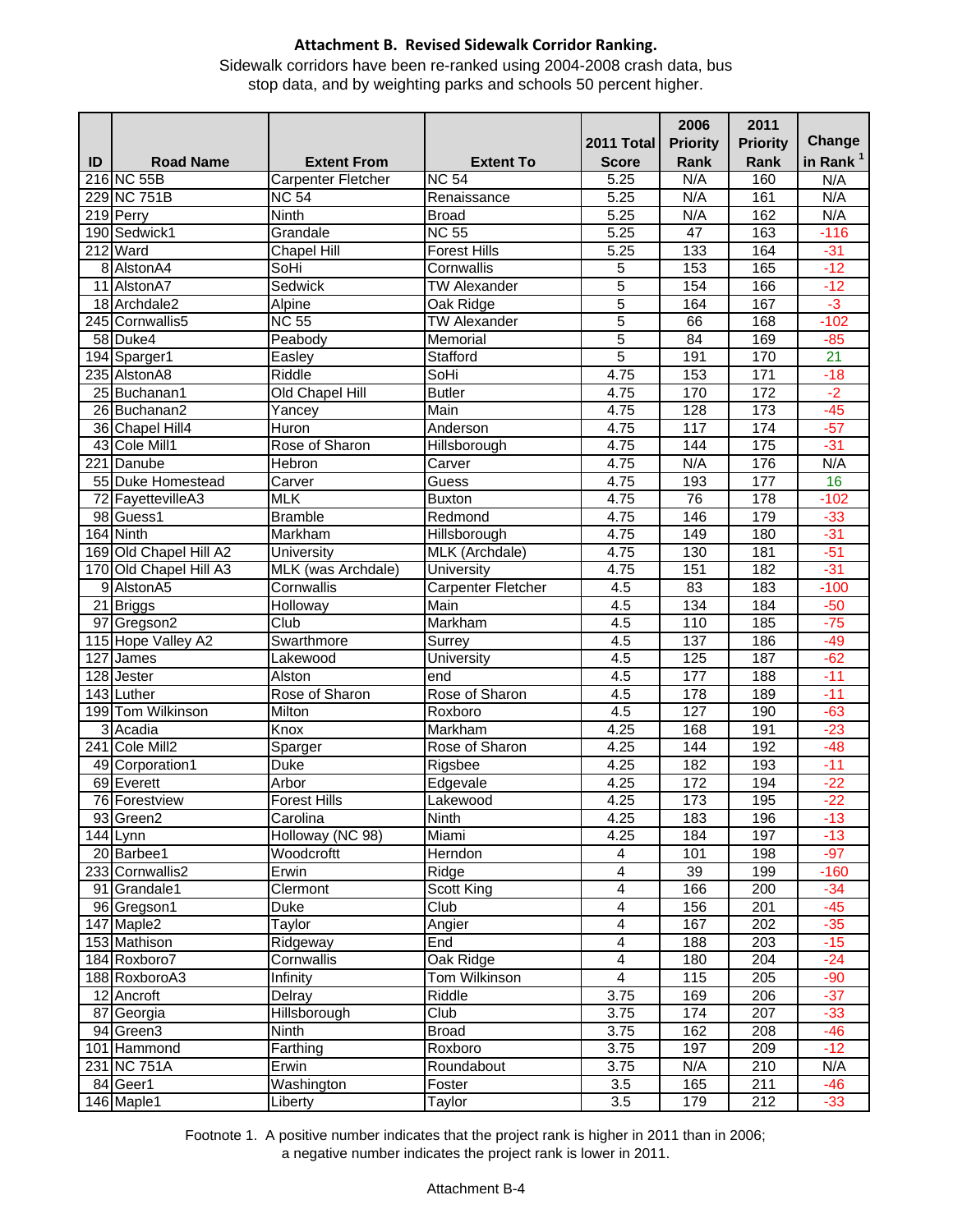Sidewalk corridors have been re-ranked using 2004-2008 crash data, bus stop data, and by weighting parks and schools 50 percent higher.

|    |                         |                     |                     |                   | 2006             | 2011            |                      |
|----|-------------------------|---------------------|---------------------|-------------------|------------------|-----------------|----------------------|
|    |                         |                     |                     | <b>2011 Total</b> | <b>Priority</b>  | <b>Priority</b> | Change               |
| ID | <b>Road Name</b>        | <b>Extent From</b>  | <b>Extent To</b>    | <b>Score</b>      | Rank             | Rank            | in Rank <sup>1</sup> |
|    | 216 NC 55B              | Carpenter Fletcher  | <b>NC 54</b>        | 5.25              | N/A              | 160             | N/A                  |
|    | 229 NC 751B             | <b>NC 54</b>        | Renaissance         | 5.25              | N/A              | 161             | N/A                  |
|    | 219 Perry               | <b>Ninth</b>        | <b>Broad</b>        | 5.25              | N/A              | 162             | N/A                  |
|    | 190 Sedwick1            | Grandale            | <b>NC 55</b>        | 5.25              | $\overline{47}$  | 163             | $-116$               |
|    | 212 Ward                | <b>Chapel Hill</b>  | <b>Forest Hills</b> | $\overline{5.25}$ | 133              | 164             | $-31$                |
|    | 8 AlstonA4              | SoHi                | Cornwallis          | 5                 | 153              | 165             | $-12$                |
|    | 11 AlstonA7             | Sedwick             | <b>TW Alexander</b> | $\overline{5}$    | 154              | 166             | $-12$                |
|    | 18 Archdale2            | Alpine              | Oak Ridge           | $\overline{5}$    | 164              | 167             | $-3$                 |
|    | 245 Cornwallis5         | <b>NC 55</b>        | <b>TW Alexander</b> | 5                 | 66               | 168             | $-102$               |
|    | 58 Duke4                | Peabody             | Memorial            | 5                 | 84               | 169             | $-85$                |
|    | 194 Sparger1            | Easley              | Stafford            | 5                 | 191              | 170             | $\overline{21}$      |
|    | 235 AlstonA8            | Riddle              | SoHi                | 4.75              | 153              | $\frac{1}{171}$ | $-18$                |
|    | 25 Buchanan1            | Old Chapel Hill     | <b>Butler</b>       | 4.75              | 170              | 172             | $-2$                 |
|    | 26 Buchanan2            | Yancey              | Main                | 4.75              | $\overline{128}$ | 173             | $-45$                |
|    | 36 Chapel Hill4         | Huron               | Anderson            | 4.75              | 117              | 174             | $-57$                |
|    | 43 Cole Mill1           | Rose of Sharon      | Hillsborough        | 4.75              | 144              | 175             | $-31$                |
|    | 221 Danube              | Hebron              | Carver              | 4.75              | N/A              | 176             | N/A                  |
|    | 55 Duke Homestead       | Carver              | Guess               | 4.75              | 193              | 177             | 16                   |
|    | 72 FayettevilleA3       | <b>MLK</b>          | <b>Buxton</b>       | 4.75              | 76               | 178             | $-102$               |
|    | 98 Guess1               | <b>Bramble</b>      | Redmond             | 4.75              | 146              | 179             | $-33$                |
|    | 164 Ninth               | Markham             | Hillsborough        | 4.75              | 149              | 180             | $-31$                |
|    | 169 Old Chapel Hill A2  | University          | MLK (Archdale)      | 4.75              | 130              | 181             | $-51$                |
|    | 170 Old Chapel Hill A3  | MLK (was Archdale)  | <b>University</b>   | 4.75              | 151              | 182             | $-31$                |
|    | 9 AlstonA5              | Cornwallis          | Carpenter Fletcher  | $\overline{4.5}$  | 83               | 183             | $-100$               |
|    | 21 Briggs               | Holloway            | Main                | 4.5               | 134              | 184             | $-50$                |
|    | 97 Gregson2             | Club                | Markham             | 4.5               | 110              | 185             | $-75$                |
|    | 115 Hope Valley A2      | Swarthmore          | Surrey              | 4.5               | 137              | 186             | $-49$                |
|    | 127 James               | Lakewood            | University          | 4.5               | 125              | 187             | $-62$                |
|    | $\overline{128}$ Jester | Alston              | end                 | 4.5               | 177              | 188             | $-11$                |
|    | 143 Luther              | Rose of Sharon      | Rose of Sharon      | 4.5               | 178              | 189             | $-11$                |
|    | 199 Tom Wilkinson       | Milton              | Roxboro             | 4.5               | $\overline{127}$ | 190             | $-63$                |
|    | 3 Acadia                | Knox                | Markham             | 4.25              | 168              | 191             | $-23$                |
|    | 241 Cole Mill2          | Sparger             | Rose of Sharon      | 4.25              | 144              | 192             | $-48$                |
|    | 49 Corporation1         | <b>Duke</b>         | Rigsbee             | 4.25              | 182              | 193             | $-11$                |
|    | 69 Everett              | Arbor               | Edgevale            | 4.25              | 172              | 194             | $-22$                |
|    | 76 Forestview           | <b>Forest Hills</b> | Lakewood            | 4.25              | 173              | 195             | $-22$                |
|    | 93 Green2               | Carolina            | Ninth               | 4.25              | 183              | 196             | $-13$                |
|    | 144 Lynn                | Holloway (NC 98)    | Miami               | 4.25              | 184              | 197             | $-13$                |
|    | 20 Barbee1              | Woodcroftt          | Herndon             | 4                 | 101              | 198             | $-97$                |
|    | 233 Cornwallis2         | Erwin               | Ridge               | 4                 | 39               | 199             | $-160$               |
|    | 91 Grandale1            | Clermont            | Scott King          | 4                 | 166              | 200             | $-34$                |
|    | 96 Gregson1             | Duke                | Club                | 4                 | 156              | 201             | $-45$                |
|    | 147 Maple2              | Taylor              | Angier              | 4                 | 167              | 202             | $-35$                |
|    | 153 Mathison            | Ridgeway            | End                 | $\overline{4}$    | 188              | 203             | $-15$                |
|    | 184 Roxboro7            | Cornwallis          | Oak Ridge           | $\overline{4}$    | 180              | 204             | $-24$                |
|    | 188 RoxboroA3           | Infinity            | Tom Wilkinson       | 4                 | 115              | 205             | $-90$                |
|    | 12 Ancroft              | Delray              | Riddle              | 3.75              | 169              | 206             | $-37$                |
|    | 87 Georgia              | Hillsborough        | Club                | 3.75              | 174              | 207             | $-33$                |
|    | 94 Green3               | Ninth               | <b>Broad</b>        | 3.75              | 162              | 208             | $-46$                |
|    | 101 Hammond             | Farthing            | Roxboro             | 3.75              | 197              | 209             | $-12$                |
|    | 231 NC 751A             | Erwin               | Roundabout          | 3.75              | N/A              | 210             | N/A                  |
|    | 84 Geer1                | Washington          | Foster              | 3.5               | 165              | 211             | $-46$                |
|    | 146 Maple1              | Liberty             | Taylor              | 3.5               | 179              | 212             | $-33$                |